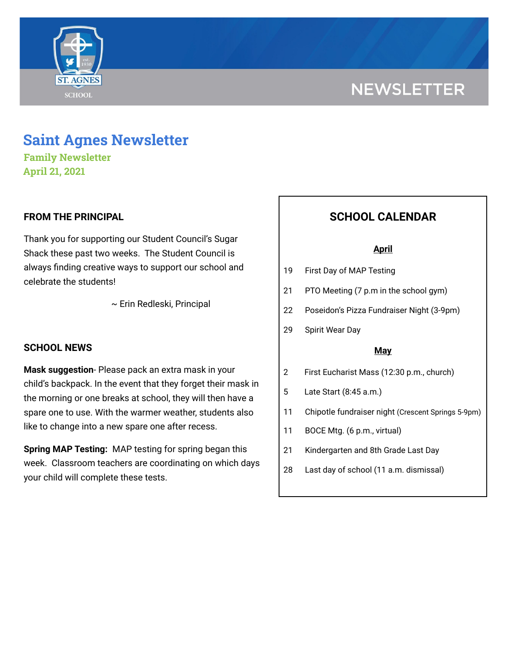

# **NEWSLETTER**

# **Saint Agnes Newsletter**

**Family Newsletter April 21, 2021**

### **FROM THE PRINCIPAL**

Thank you for supporting our Student Council's Sugar Shack these past two weeks. The Student Council is always finding creative ways to support our school and celebrate the students!

~ Erin Redleski, Principal

### **SCHOOL NEWS**

**Mask suggestion**- Please pack an extra mask in your child's backpack. In the event that they forget their mask in the morning or one breaks at school, they will then have a spare one to use. With the warmer weather, students also like to change into a new spare one after recess.

**Spring MAP Testing:** MAP testing for spring began this week. Classroom teachers are coordinating on which days your child will complete these tests.

## **SCHOOL CALENDAR**

#### **April**

- 19 First Day of MAP Testing
- 21 PTO Meeting (7 p.m in the school gym)
- 22 Poseidon's Pizza Fundraiser Night (3-9pm)
- 29 Spirit Wear Day

#### **May**

- 2 First Eucharist Mass (12:30 p.m., church)
- 5 Late Start (8:45 a.m.)
- 11 Chipotle fundraiser night (Crescent Springs 5-9pm)
- 11 BOCE Mtg. (6 p.m., virtual)
- 21 Kindergarten and 8th Grade Last Day
- 28 Last day of school (11 a.m. dismissal)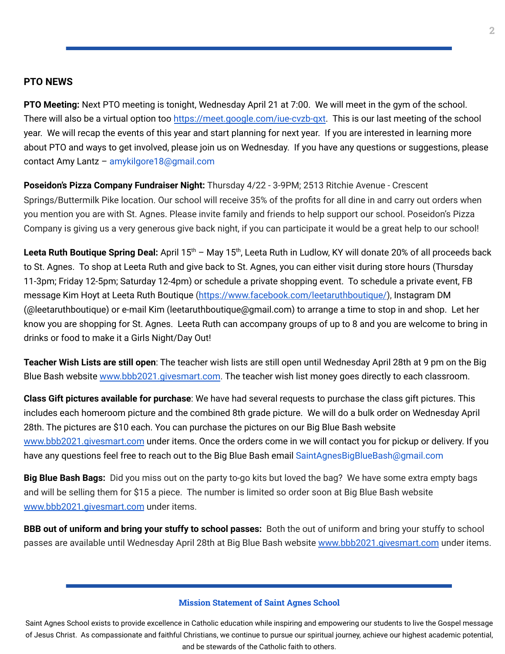#### **PTO NEWS**

**PTO Meeting:** Next PTO meeting is tonight, Wednesday April 21 at 7:00. We will meet in the gym of the school. There will also be a virtual option too [https://meet.google.com/iue-cvzb-qxt.](https://meet.google.com/iue-cvzb-qxt) This is our last meeting of the school year. We will recap the events of this year and start planning for next year. If you are interested in learning more about PTO and ways to get involved, please join us on Wednesday. If you have any questions or suggestions, please contact Amy Lantz – amykilgore18@gmail.com

**Poseidon's Pizza Company Fundraiser Night:** Thursday 4/22 - 3-9PM; 2513 Ritchie Avenue - Crescent Springs/Buttermilk Pike location. Our school will receive 35% of the profits for all dine in and carry out orders when you mention you are with St. Agnes. Please invite family and friends to help support our school. Poseidon's Pizza Company is giving us a very generous give back night, if you can participate it would be a great help to our school!

Leeta Ruth Boutique Spring Deal: April 15<sup>th</sup> - May 15<sup>th</sup>, Leeta Ruth in Ludlow, KY will donate 20% of all proceeds back to St. Agnes. To shop at Leeta Ruth and give back to St. Agnes, you can either visit during store hours (Thursday 11-3pm; Friday 12-5pm; Saturday 12-4pm) or schedule a private shopping event. To schedule a private event, FB message Kim Hoyt at Leeta Ruth Boutique [\(https://www.facebook.com/leetaruthboutique/](https://www.facebook.com/leetaruthboutique/)), Instagram DM (@leetaruthboutique) or e-mail Kim (leetaruthboutique@gmail.com) to arrange a time to stop in and shop. Let her know you are shopping for St. Agnes. Leeta Ruth can accompany groups of up to 8 and you are welcome to bring in drinks or food to make it a Girls Night/Day Out!

**Teacher Wish Lists are still open**: The teacher wish lists are still open until Wednesday April 28th at 9 pm on the Big Blue Bash website [www.bbb2021.givesmart.com](http://www.bbb2021.givesmart.com/). The teacher wish list money goes directly to each classroom.

**Class Gift pictures available for purchase**: We have had several requests to purchase the class gift pictures. This includes each homeroom picture and the combined 8th grade picture. We will do a bulk order on Wednesday April 28th. The pictures are \$10 each. You can purchase the pictures on our Big Blue Bash website [www.bbb2021.givesmart.com](http://www.bbb2021.givesmart.com/) under items. Once the orders come in we will contact you for pickup or delivery. If you have any questions feel free to reach out to the Big Blue Bash email SaintAgnesBigBlueBash@gmail.com

**Big Blue Bash Bags:** Did you miss out on the party to-go kits but loved the bag? We have some extra empty bags and will be selling them for \$15 a piece. The number is limited so order soon at Big Blue Bash website [www.bbb2021.givesmart.com](http://www.bbb2021.givesmart.com/) under items.

**BBB out of uniform and bring your stuffy to school passes:** Both the out of uniform and bring your stuffy to school passes are available until Wednesday April 28th at Big Blue Bash website [www.bbb2021.givesmart.com](http://www.bbb2021.givesmart.com/) under items.

#### **Mission Statement of Saint Agnes School**

Saint Agnes School exists to provide excellence in Catholic education while inspiring and empowering our students to live the Gospel message of Jesus Christ. As compassionate and faithful Christians, we continue to pursue our spiritual journey, achieve our highest academic potential, and be stewards of the Catholic faith to others.